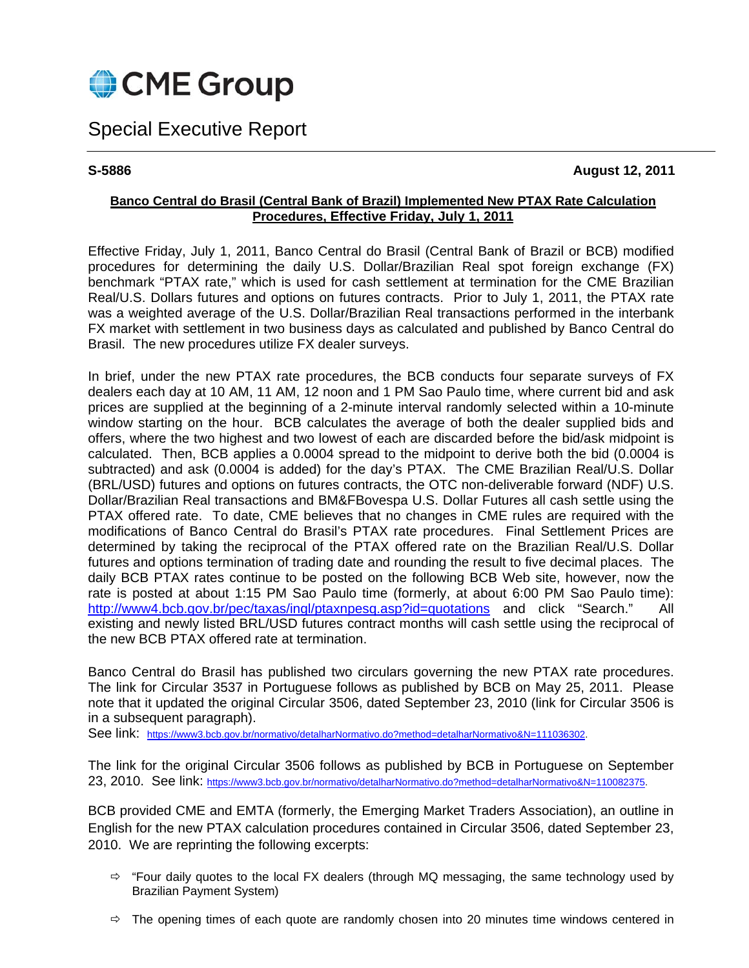

# Special Executive Report

**S-5886 August 12, 2011** 

## **Banco Central do Brasil (Central Bank of Brazil) Implemented New PTAX Rate Calculation Procedures, Effective Friday, July 1, 2011**

Effective Friday, July 1, 2011, Banco Central do Brasil (Central Bank of Brazil or BCB) modified procedures for determining the daily U.S. Dollar/Brazilian Real spot foreign exchange (FX) benchmark "PTAX rate," which is used for cash settlement at termination for the CME Brazilian Real/U.S. Dollars futures and options on futures contracts. Prior to July 1, 2011, the PTAX rate was a weighted average of the U.S. Dollar/Brazilian Real transactions performed in the interbank FX market with settlement in two business days as calculated and published by Banco Central do Brasil. The new procedures utilize FX dealer surveys.

In brief, under the new PTAX rate procedures, the BCB conducts four separate surveys of FX dealers each day at 10 AM, 11 AM, 12 noon and 1 PM Sao Paulo time, where current bid and ask prices are supplied at the beginning of a 2-minute interval randomly selected within a 10-minute window starting on the hour. BCB calculates the average of both the dealer supplied bids and offers, where the two highest and two lowest of each are discarded before the bid/ask midpoint is calculated. Then, BCB applies a 0.0004 spread to the midpoint to derive both the bid (0.0004 is subtracted) and ask (0.0004 is added) for the day's PTAX. The CME Brazilian Real/U.S. Dollar (BRL/USD) futures and options on futures contracts, the OTC non-deliverable forward (NDF) U.S. Dollar/Brazilian Real transactions and BM&FBovespa U.S. Dollar Futures all cash settle using the PTAX offered rate. To date, CME believes that no changes in CME rules are required with the modifications of Banco Central do Brasil's PTAX rate procedures. Final Settlement Prices are determined by taking the reciprocal of the PTAX offered rate on the Brazilian Real/U.S. Dollar futures and options termination of trading date and rounding the result to five decimal places. The daily BCB PTAX rates continue to be posted on the following BCB Web site, however, now the rate is posted at about 1:15 PM Sao Paulo time (formerly, at about 6:00 PM Sao Paulo time): http://www4.bcb.gov.br/pec/taxas/ingl/ptaxnpesq.asp?id=quotations and click "Search." All existing and newly listed BRL/USD futures contract months will cash settle using the reciprocal of the new BCB PTAX offered rate at termination.

Banco Central do Brasil has published two circulars governing the new PTAX rate procedures. The link for Circular 3537 in Portuguese follows as published by BCB on May 25, 2011. Please note that it updated the original Circular 3506, dated September 23, 2010 (link for Circular 3506 is in a subsequent paragraph).

See link: https://www3.bcb.gov.br/normativo/detalharNormativo.do?method=detalharNormativo&N=111036302.

The link for the original Circular 3506 follows as published by BCB in Portuguese on September 23, 2010. See link: https://www3.bcb.gov.br/normativo/detalharNormativo.do?method=detalharNormativo&N=110082375.

BCB provided CME and EMTA (formerly, the Emerging Market Traders Association), an outline in English for the new PTAX calculation procedures contained in Circular 3506, dated September 23, 2010. We are reprinting the following excerpts:

- $\Rightarrow$  "Four daily quotes to the local FX dealers (through MQ messaging, the same technology used by Brazilian Payment System)
- $\Rightarrow$  The opening times of each quote are randomly chosen into 20 minutes time windows centered in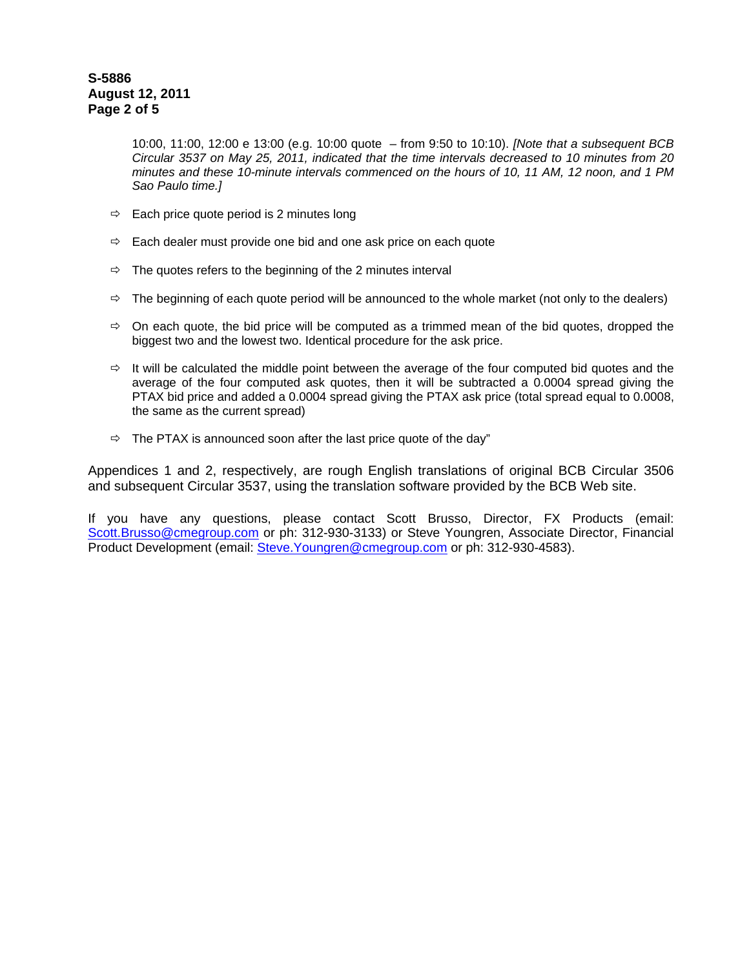# **S-5886 August 12, 2011 Page 2 of 5**

10:00, 11:00, 12:00 e 13:00 (e.g. 10:00 quote – from 9:50 to 10:10). *[Note that a subsequent BCB Circular 3537 on May 25, 2011, indicated that the time intervals decreased to 10 minutes from 20 minutes and these 10-minute intervals commenced on the hours of 10, 11 AM, 12 noon, and 1 PM Sao Paulo time.]*

- $\Rightarrow$  Each price quote period is 2 minutes long
- $\Rightarrow$  Each dealer must provide one bid and one ask price on each quote
- $\Rightarrow$  The quotes refers to the beginning of the 2 minutes interval
- $\Rightarrow$  The beginning of each quote period will be announced to the whole market (not only to the dealers)
- $\Rightarrow$  On each quote, the bid price will be computed as a trimmed mean of the bid quotes, dropped the biggest two and the lowest two. Identical procedure for the ask price.
- $\Rightarrow$  It will be calculated the middle point between the average of the four computed bid quotes and the average of the four computed ask quotes, then it will be subtracted a 0.0004 spread giving the PTAX bid price and added a 0.0004 spread giving the PTAX ask price (total spread equal to 0.0008, the same as the current spread)
- $\Rightarrow$  The PTAX is announced soon after the last price quote of the day"

Appendices 1 and 2, respectively, are rough English translations of original BCB Circular 3506 and subsequent Circular 3537, using the translation software provided by the BCB Web site.

If you have any questions, please contact Scott Brusso, Director, FX Products (email: Scott.Brusso@cmegroup.com or ph: 312-930-3133) or Steve Youngren, Associate Director, Financial Product Development (email: Steve.Youngren@cmegroup.com or ph: 312-930-4583).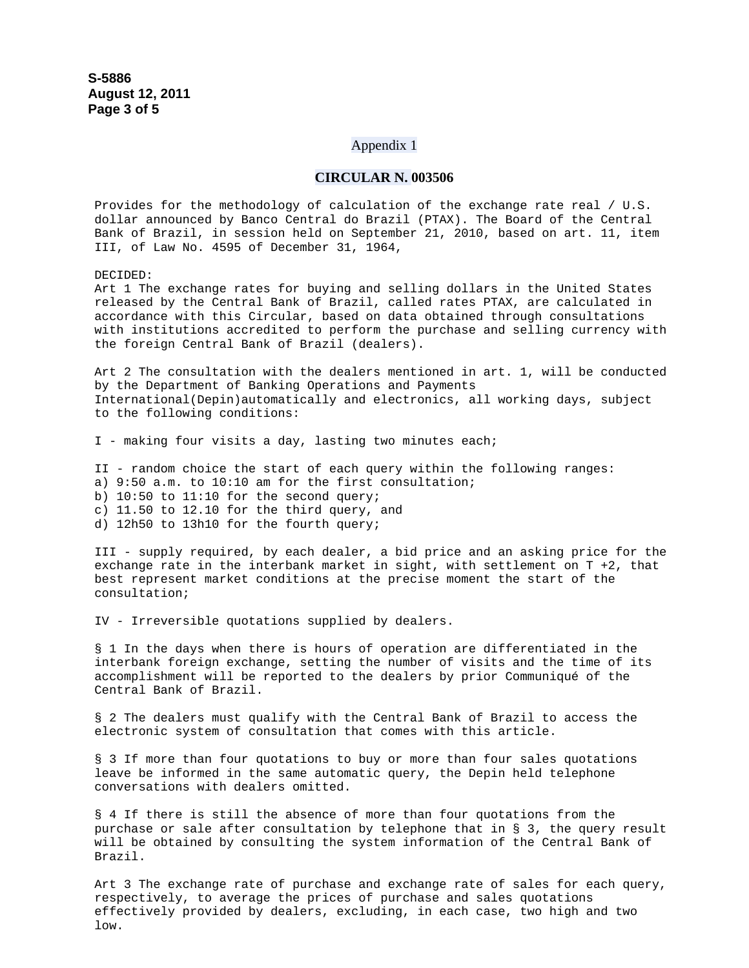### Appendix 1

### **CIRCULAR N. 003506**

Provides for the methodology of calculation of the exchange rate real / U.S. dollar announced by Banco Central do Brazil (PTAX). The Board of the Central Bank of Brazil, in session held on September 21, 2010, based on art. 11, item III, of Law No. 4595 of December 31, 1964,

DECIDED:

Art 1 The exchange rates for buying and selling dollars in the United States released by the Central Bank of Brazil, called rates PTAX, are calculated in accordance with this Circular, based on data obtained through consultations with institutions accredited to perform the purchase and selling currency with the foreign Central Bank of Brazil (dealers).

Art 2 The consultation with the dealers mentioned in art. 1, will be conducted by the Department of Banking Operations and Payments International(Depin)automatically and electronics, all working days, subject to the following conditions:

I - making four visits a day, lasting two minutes each;

II - random choice the start of each query within the following ranges: a) 9:50 a.m. to 10:10 am for the first consultation; b) 10:50 to 11:10 for the second query; c) 11.50 to 12.10 for the third query, and d) 12h50 to 13h10 for the fourth query;

III - supply required, by each dealer, a bid price and an asking price for the exchange rate in the interbank market in sight, with settlement on T +2, that best represent market conditions at the precise moment the start of the consultation;

IV - Irreversible quotations supplied by dealers.

§ 1 In the days when there is hours of operation are differentiated in the interbank foreign exchange, setting the number of visits and the time of its accomplishment will be reported to the dealers by prior Communiqué of the Central Bank of Brazil.

§ 2 The dealers must qualify with the Central Bank of Brazil to access the electronic system of consultation that comes with this article.

§ 3 If more than four quotations to buy or more than four sales quotations leave be informed in the same automatic query, the Depin held telephone conversations with dealers omitted.

§ 4 If there is still the absence of more than four quotations from the purchase or sale after consultation by telephone that in § 3, the query result will be obtained by consulting the system information of the Central Bank of Brazil.

Art 3 The exchange rate of purchase and exchange rate of sales for each query, respectively, to average the prices of purchase and sales quotations effectively provided by dealers, excluding, in each case, two high and two low.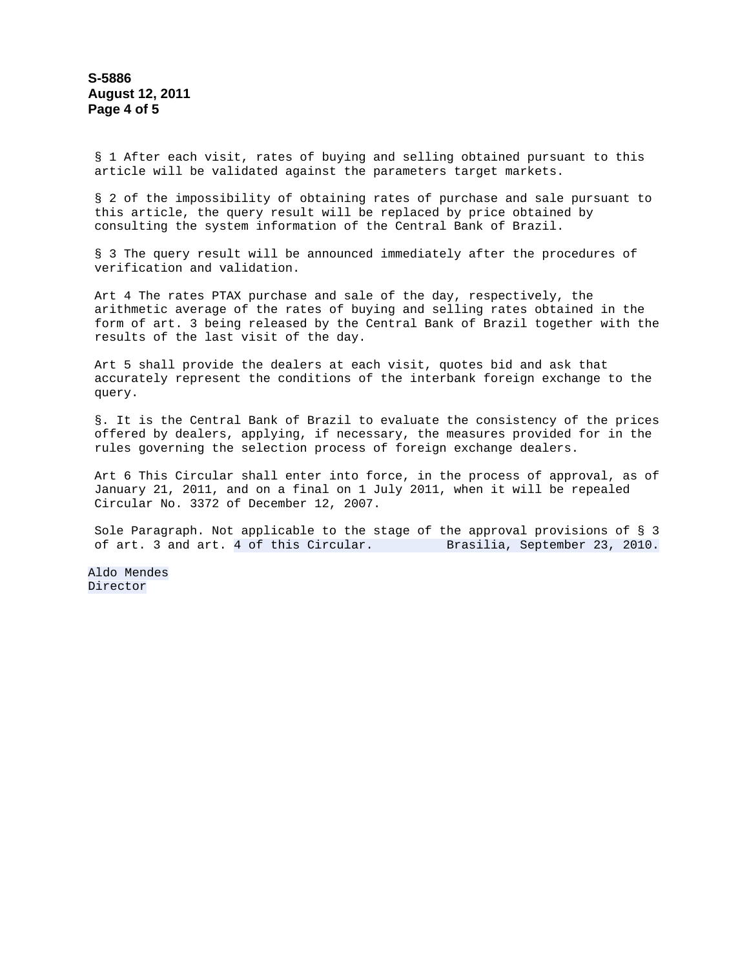§ 1 After each visit, rates of buying and selling obtained pursuant to this article will be validated against the parameters target markets.

§ 2 of the impossibility of obtaining rates of purchase and sale pursuant to this article, the query result will be replaced by price obtained by consulting the system information of the Central Bank of Brazil.

§ 3 The query result will be announced immediately after the procedures of verification and validation.

Art 4 The rates PTAX purchase and sale of the day, respectively, the arithmetic average of the rates of buying and selling rates obtained in the form of art. 3 being released by the Central Bank of Brazil together with the results of the last visit of the day.

Art 5 shall provide the dealers at each visit, quotes bid and ask that accurately represent the conditions of the interbank foreign exchange to the query.

§. It is the Central Bank of Brazil to evaluate the consistency of the prices offered by dealers, applying, if necessary, the measures provided for in the rules governing the selection process of foreign exchange dealers.

Art 6 This Circular shall enter into force, in the process of approval, as of January 21, 2011, and on a final on 1 July 2011, when it will be repealed Circular No. 3372 of December 12, 2007.

Sole Paragraph. Not applicable to the stage of the approval provisions of § 3 of art. 3 and art. 4 of this Circular. Brasilia, September 23, 2010.

Aldo Mendes Director